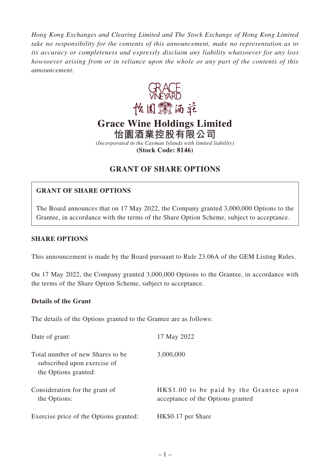*Hong Kong Exchanges and Clearing Limited and The Stock Exchange of Hong Kong Limited take no responsibility for the contents of this announcement, make no representation as to its accuracy or completeness and expressly disclaim any liability whatsoever for any loss howsoever arising from or in reliance upon the whole or any part of the contents of this announcement.*



# **Grace Wine Holdings Limited**

**怡園酒業控股有限公司**

*(Incorporated in the Cayman Islands with limited liability)* **(Stock Code: 8146)**

# **GRANT OF SHARE OPTIONS**

## **GRANT OF SHARE OPTIONS**

The Board announces that on 17 May 2022, the Company granted 3,000,000 Options to the Grantee, in accordance with the terms of the Share Option Scheme, subject to acceptance.

#### **SHARE OPTIONS**

This announcement is made by the Board pursuant to Rule 23.06A of the GEM Listing Rules.

On 17 May 2022, the Company granted 3,000,000 Options to the Grantee, in accordance with the terms of the Share Option Scheme, subject to acceptance.

#### **Details of the Grant**

The details of the Options granted to the Grantee are as follows:

| Date of grant:                                                                          | 17 May 2022                                                                  |
|-----------------------------------------------------------------------------------------|------------------------------------------------------------------------------|
| Total number of new Shares to be<br>subscribed upon exercise of<br>the Options granted: | 3,000,000                                                                    |
| Consideration for the grant of<br>the Options:                                          | HK\$1.00 to be paid by the Grantee upon<br>acceptance of the Options granted |
| Exercise price of the Options granted:                                                  | HK\$0.17 per Share                                                           |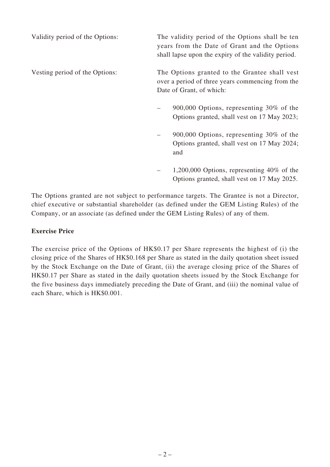Validity period of the Options: The validity period of the Options shall be ten years from the Date of Grant and the Options shall lapse upon the expiry of the validity period. Vesting period of the Options: The Options granted to the Grantee shall vest over a period of three years commencing from the Date of Grant, of which: – 900,000 Options, representing 30% of the Options granted, shall vest on 17 May 2023; – 900,000 Options, representing 30% of the Options granted, shall vest on 17 May 2024; and – 1,200,000 Options, representing 40% of the Options granted, shall vest on 17 May 2025.

The Options granted are not subject to performance targets. The Grantee is not a Director, chief executive or substantial shareholder (as defined under the GEM Listing Rules) of the Company, or an associate (as defined under the GEM Listing Rules) of any of them.

#### **Exercise Price**

The exercise price of the Options of HK\$0.17 per Share represents the highest of (i) the closing price of the Shares of HK\$0.168 per Share as stated in the daily quotation sheet issued by the Stock Exchange on the Date of Grant, (ii) the average closing price of the Shares of HK\$0.17 per Share as stated in the daily quotation sheets issued by the Stock Exchange for the five business days immediately preceding the Date of Grant, and (iii) the nominal value of each Share, which is HK\$0.001.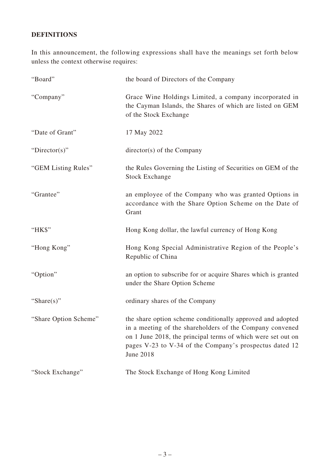## **DEFINITIONS**

In this announcement, the following expressions shall have the meanings set forth below unless the context otherwise requires:

| "Board"               | the board of Directors of the Company                                                                                                                                                                                                                                 |
|-----------------------|-----------------------------------------------------------------------------------------------------------------------------------------------------------------------------------------------------------------------------------------------------------------------|
| "Company"             | Grace Wine Holdings Limited, a company incorporated in<br>the Cayman Islands, the Shares of which are listed on GEM<br>of the Stock Exchange                                                                                                                          |
| "Date of Grant"       | 17 May 2022                                                                                                                                                                                                                                                           |
| "Director(s)"         | $directory(s)$ of the Company                                                                                                                                                                                                                                         |
| "GEM Listing Rules"   | the Rules Governing the Listing of Securities on GEM of the<br><b>Stock Exchange</b>                                                                                                                                                                                  |
| "Grantee"             | an employee of the Company who was granted Options in<br>accordance with the Share Option Scheme on the Date of<br>Grant                                                                                                                                              |
| "HK\$"                | Hong Kong dollar, the lawful currency of Hong Kong                                                                                                                                                                                                                    |
| "Hong Kong"           | Hong Kong Special Administrative Region of the People's<br>Republic of China                                                                                                                                                                                          |
| "Option"              | an option to subscribe for or acquire Shares which is granted<br>under the Share Option Scheme                                                                                                                                                                        |
| "Share $(s)$ "        | ordinary shares of the Company                                                                                                                                                                                                                                        |
| "Share Option Scheme" | the share option scheme conditionally approved and adopted<br>in a meeting of the shareholders of the Company convened<br>on 1 June 2018, the principal terms of which were set out on<br>pages V-23 to V-34 of the Company's prospectus dated 12<br><b>June 2018</b> |
| "Stock Exchange"      | The Stock Exchange of Hong Kong Limited                                                                                                                                                                                                                               |